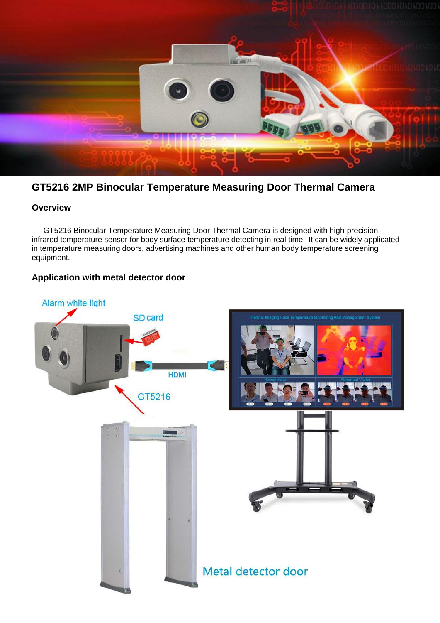

# **GT5216 2MP Binocular Temperature Measuring Door Thermal Camera**

## **Overview**

GT5216 Binocular Temperature Measuring Door Thermal Camera is designed with high-precision infrared temperature sensor for body surface temperature detecting in real time. It can be widely applicated in temperature measuring doors, advertising machines and other human body temperature screening equipment.

### **Application with metal detector door**

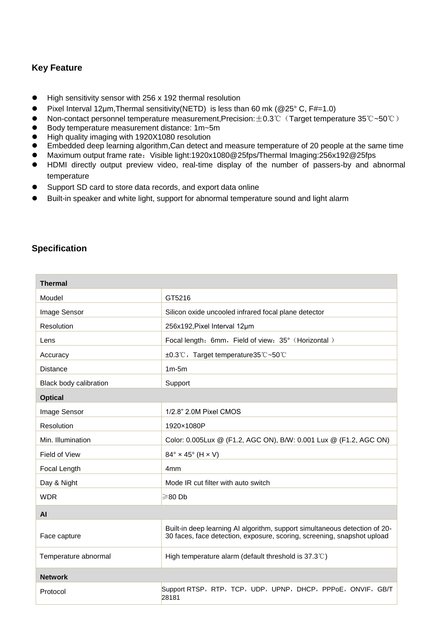## **Key Feature**

- High sensitivity sensor with 256 x 192 thermal resolution
- **Pixel Interval 12**  $\mu$ m, Thermal sensitivity (NETD) is less than 60 mk (@25° C, F#=1.0)
- Non-contact personnel temperature measurement,Precision: $\pm$ 0.3℃ (Target temperature 35℃~50℃)<br>● Body temperature measurement distance: 1m~5m
- Body temperature measurement distance: 1m~5m
- High quality imaging with 1920X1080 resolution
- Embedded deep learning algorithm,Can detect and measure temperature of 20 people at the same time
- Maximum output frame rate: Visible light:1920x1080@25fps/Thermal Imaging:256x192@25fps
- HDMI directly output preview video, real-time display of the number of passers-by and abnormal temperature
- Support SD card to store data records, and export data online
- Built-in speaker and white light, support for abnormal temperature sound and light alarm

## **Specification**

| <b>Thermal</b>         |                                                                                                                                                       |
|------------------------|-------------------------------------------------------------------------------------------------------------------------------------------------------|
| Moudel                 | GT5216                                                                                                                                                |
| Image Sensor           | Silicon oxide uncooled infrared focal plane detector                                                                                                  |
| Resolution             | 256x192, Pixel Interval 12um                                                                                                                          |
| Lens                   | Focal length: 6mm, Field of view: 35° (Horizontal)                                                                                                    |
| Accuracy               | ±0.3°C, Target temperature35°C~50°C                                                                                                                   |
| Distance               | $1m-5m$                                                                                                                                               |
| Black body calibration | Support                                                                                                                                               |
| <b>Optical</b>         |                                                                                                                                                       |
| Image Sensor           | 1/2.8" 2.0M Pixel CMOS                                                                                                                                |
| Resolution             | 1920×1080P                                                                                                                                            |
| Min. Illumination      | Color: 0.005Lux @ (F1.2, AGC ON), B/W: 0.001 Lux @ (F1.2, AGC ON)                                                                                     |
| <b>Field of View</b>   | $84^\circ \times 45^\circ$ (H $\times$ V)                                                                                                             |
| Focal Length           | 4 <sub>mm</sub>                                                                                                                                       |
| Day & Night            | Mode IR cut filter with auto switch                                                                                                                   |
| <b>WDR</b>             | ≥80Db                                                                                                                                                 |
| <b>AI</b>              |                                                                                                                                                       |
| Face capture           | Built-in deep learning AI algorithm, support simultaneous detection of 20-<br>30 faces, face detection, exposure, scoring, screening, snapshot upload |
| Temperature abnormal   | High temperature alarm (default threshold is $37.3^{\circ}$ )                                                                                         |
| <b>Network</b>         |                                                                                                                                                       |
| Protocol               | Support RTSP, RTP, TCP, UDP, UPNP, DHCP, PPPoE, ONVIF, GB/T<br>28181                                                                                  |